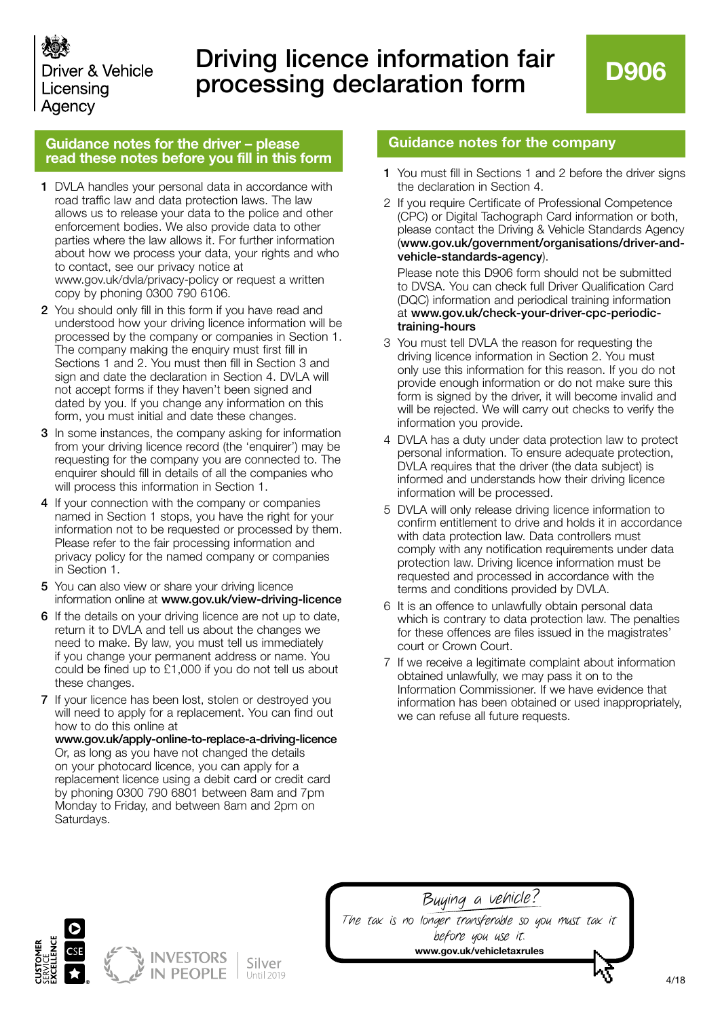

## Driving licence information fair processing declaration form

## **Guidance notes for the driver – please read these notes before you fill in this form**

- 1 DVLA handles your personal data in accordance with road traffic law and data protection laws. The law allows us to release your data to the police and other enforcement bodies. We also provide data to other parties where the law allows it. For further information about how we process your data, your rights and who to contact, see our privacy notice at www.gov.uk/dvla/privacy-policy or request a written copy by phoning 0300 790 6106.
- 2 You should only fill in this form if you have read and understood how your driving licence information will be processed by the company or companies in Section 1. The company making the enquiry must first fill in Sections 1 and 2. You must then fill in Section 3 and sign and date the declaration in Section 4. DVLA will not accept forms if they haven't been signed and dated by you. If you change any information on this form, you must initial and date these changes.
- 3 In some instances, the company asking for information from your driving licence record (the 'enquirer') may be requesting for the company you are connected to. The enquirer should fill in details of all the companies who will process this information in Section 1.
- 4 If your connection with the company or companies named in Section 1 stops, you have the right for your information not to be requested or processed by them. Please refer to the fair processing information and privacy policy for the named company or companies in Section 1.
- 5 You can also view or share your driving licence information online at www.gov.uk/view-driving-licence
- 6 If the details on your driving licence are not up to date, return it to DVLA and tell us about the changes we need to make. By law, you must tell us immediately if you change your permanent address or name. You could be fined up to £1,000 if you do not tell us about these changes.
- 7 If your licence has been lost, stolen or destroyed you will need to apply for a replacement. You can find out how to do this online at

www.gov.uk/apply-online-to-replace-a-driving-licence Or, as long as you have not changed the details on your photocard licence, you can apply for a replacement licence using a debit card or credit card by phoning 0300 790 6801 between 8am and 7pm Monday to Friday, and between 8am and 2pm on Saturdays.

## **Guidance notes for the company**

- 1 You must fill in Sections 1 and 2 before the driver signs the declaration in Section 4.
- 2 If you require Certificate of Professional Competence (CPC) or Digital Tachograph Card information or both, please contact the Driving & Vehicle Standards Agency (www.gov.uk/government/organisations/driver-andvehicle-standards-agency).

Please note this D906 form should not be submitted to DVSA. You can check full Driver Qualification Card (DQC) information and periodical training information at www.gov.uk/check-your-driver-cpc-periodictraining-hours

- 3 You must tell DVLA the reason for requesting the driving licence information in Section 2. You must only use this information for this reason. If you do not provide enough information or do not make sure this form is signed by the driver, it will become invalid and will be rejected. We will carry out checks to verify the information you provide.
- 4 DVLA has a duty under data protection law to protect personal information. To ensure adequate protection, DVLA requires that the driver (the data subject) is informed and understands how their driving licence information will be processed.
- 5 DVLA will only release driving licence information to confirm entitlement to drive and holds it in accordance with data protection law. Data controllers must comply with any notification requirements under data protection law. Driving licence information must be requested and processed in accordance with the terms and conditions provided by DVLA.
- 6 It is an offence to unlawfully obtain personal data which is contrary to data protection law. The penalties for these offences are files issued in the magistrates' court or Crown Court.
- 7 If we receive a legitimate complaint about information obtained unlawfully, we may pass it on to the Information Commissioner. If we have evidence that information has been obtained or used inappropriately, we can refuse all future requests.



Buying a vehicle? The tax is no longer transferable so you must tax it before you use it. **www.gov.uk/vehicletaxrules**